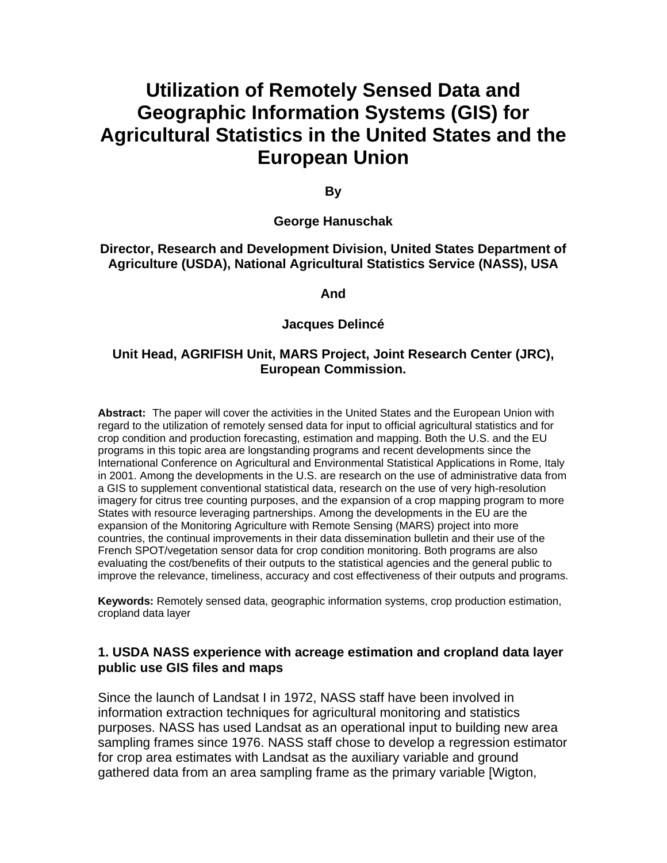# **Utilization of Remotely Sensed Data and Geographic Information Systems (GIS) for Agricultural Statistics in the United States and the European Union**

**By** 

#### **George Hanuschak**

**Director, Research and Development Division, United States Department of Agriculture (USDA), National Agricultural Statistics Service (NASS), USA** 

#### **And**

#### **Jacques Delincé**

#### **Unit Head, AGRIFISH Unit, MARS Project, Joint Research Center (JRC), European Commission.**

**Abstract:** The paper will cover the activities in the United States and the European Union with regard to the utilization of remotely sensed data for input to official agricultural statistics and for crop condition and production forecasting, estimation and mapping. Both the U.S. and the EU programs in this topic area are longstanding programs and recent developments since the International Conference on Agricultural and Environmental Statistical Applications in Rome, Italy in 2001. Among the developments in the U.S. are research on the use of administrative data from a GIS to supplement conventional statistical data, research on the use of very high-resolution imagery for citrus tree counting purposes, and the expansion of a crop mapping program to more States with resource leveraging partnerships. Among the developments in the EU are the expansion of the Monitoring Agriculture with Remote Sensing (MARS) project into more countries, the continual improvements in their data dissemination bulletin and their use of the French SPOT/vegetation sensor data for crop condition monitoring. Both programs are also evaluating the cost/benefits of their outputs to the statistical agencies and the general public to improve the relevance, timeliness, accuracy and cost effectiveness of their outputs and programs.

**Keywords:** Remotely sensed data, geographic information systems, crop production estimation, cropland data layer

#### **1. USDA NASS experience with acreage estimation and cropland data layer public use GIS files and maps**

Since the launch of Landsat I in 1972, NASS staff have been involved in information extraction techniques for agricultural monitoring and statistics purposes. NASS has used Landsat as an operational input to building new area sampling frames since 1976. NASS staff chose to develop a regression estimator for crop area estimates with Landsat as the auxiliary variable and ground gathered data from an area sampling frame as the primary variable [Wigton,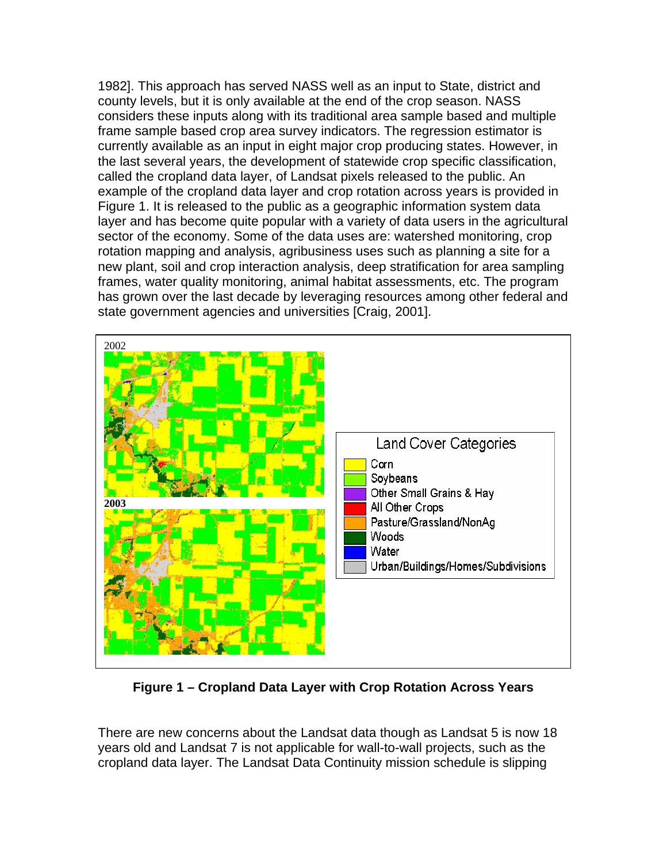1982]. This approach has served NASS well as an input to State, district and county levels, but it is only available at the end of the crop season. NASS considers these inputs along with its traditional area sample based and multiple frame sample based crop area survey indicators. The regression estimator is currently available as an input in eight major crop producing states. However, in the last several years, the development of statewide crop specific classification, called the cropland data layer, of Landsat pixels released to the public. An example of the cropland data layer and crop rotation across years is provided in Figure 1. It is released to the public as a geographic information system data layer and has become quite popular with a variety of data users in the agricultural sector of the economy. Some of the data uses are: watershed monitoring, crop rotation mapping and analysis, agribusiness uses such as planning a site for a new plant, soil and crop interaction analysis, deep stratification for area sampling frames, water quality monitoring, animal habitat assessments, etc. The program has grown over the last decade by leveraging resources among other federal and state government agencies and universities [Craig, 2001].



**Figure 1 – Cropland Data Layer with Crop Rotation Across Years** 

There are new concerns about the Landsat data though as Landsat 5 is now 18 years old and Landsat 7 is not applicable for wall-to-wall projects, such as the cropland data layer. The Landsat Data Continuity mission schedule is slipping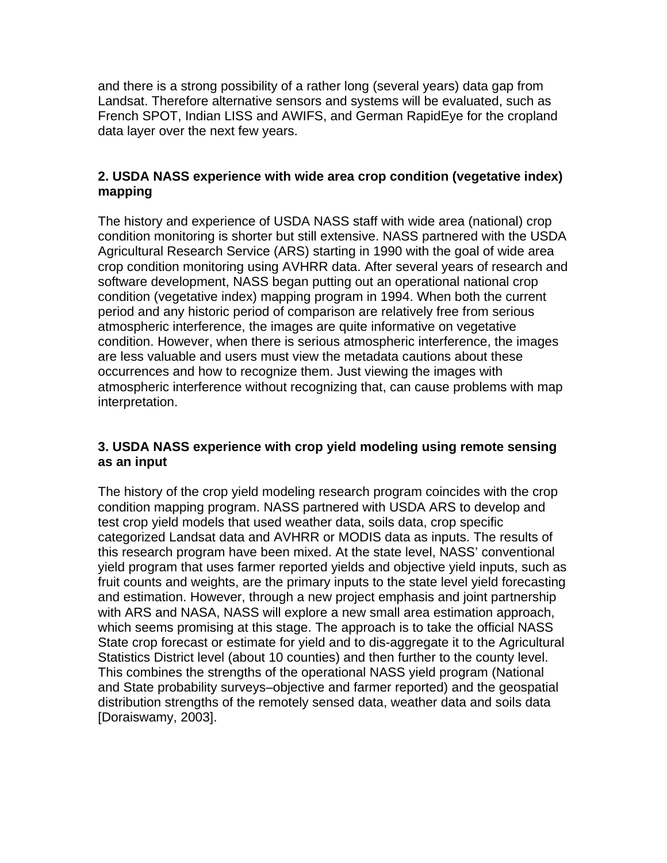and there is a strong possibility of a rather long (several years) data gap from Landsat. Therefore alternative sensors and systems will be evaluated, such as French SPOT, Indian LISS and AWIFS, and German RapidEye for the cropland data layer over the next few years.

## **2. USDA NASS experience with wide area crop condition (vegetative index) mapping**

The history and experience of USDA NASS staff with wide area (national) crop condition monitoring is shorter but still extensive. NASS partnered with the USDA Agricultural Research Service (ARS) starting in 1990 with the goal of wide area crop condition monitoring using AVHRR data. After several years of research and software development, NASS began putting out an operational national crop condition (vegetative index) mapping program in 1994. When both the current period and any historic period of comparison are relatively free from serious atmospheric interference, the images are quite informative on vegetative condition. However, when there is serious atmospheric interference, the images are less valuable and users must view the metadata cautions about these occurrences and how to recognize them. Just viewing the images with atmospheric interference without recognizing that, can cause problems with map interpretation.

# **3. USDA NASS experience with crop yield modeling using remote sensing as an input**

The history of the crop yield modeling research program coincides with the crop condition mapping program. NASS partnered with USDA ARS to develop and test crop yield models that used weather data, soils data, crop specific categorized Landsat data and AVHRR or MODIS data as inputs. The results of this research program have been mixed. At the state level, NASS' conventional yield program that uses farmer reported yields and objective yield inputs, such as fruit counts and weights, are the primary inputs to the state level yield forecasting and estimation. However, through a new project emphasis and joint partnership with ARS and NASA, NASS will explore a new small area estimation approach, which seems promising at this stage. The approach is to take the official NASS State crop forecast or estimate for yield and to dis-aggregate it to the Agricultural Statistics District level (about 10 counties) and then further to the county level. This combines the strengths of the operational NASS yield program (National and State probability surveys–objective and farmer reported) and the geospatial distribution strengths of the remotely sensed data, weather data and soils data [Doraiswamy, 2003].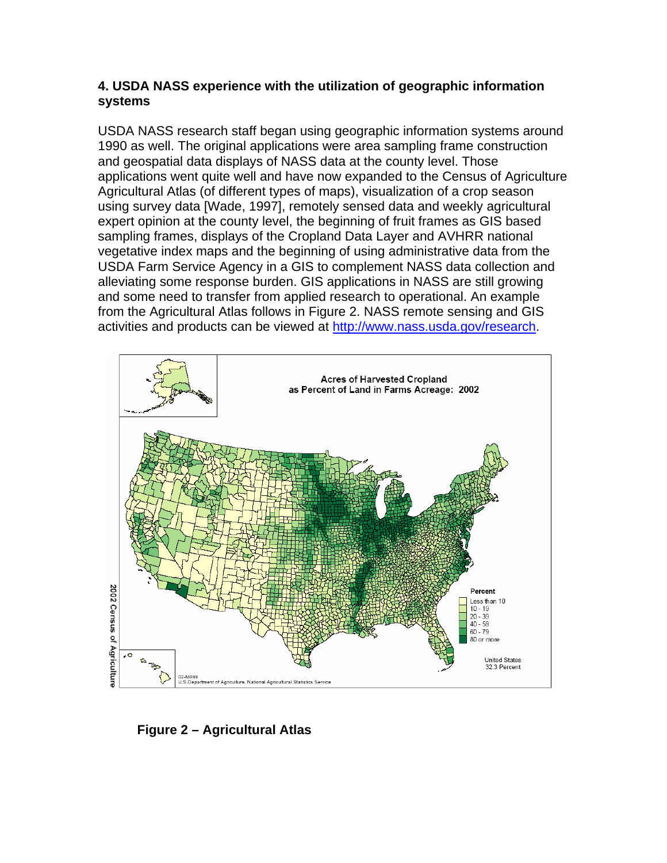#### **4. USDA NASS experience with the utilization of geographic information systems**

USDA NASS research staff began using geographic information systems around 1990 as well. The original applications were area sampling frame construction and geospatial data displays of NASS data at the county level. Those applications went quite well and have now expanded to the Census of Agriculture Agricultural Atlas (of different types of maps), visualization of a crop season using survey data [Wade, 1997], remotely sensed data and weekly agricultural expert opinion at the county level, the beginning of fruit frames as GIS based sampling frames, displays of the Cropland Data Layer and AVHRR national vegetative index maps and the beginning of using administrative data from the USDA Farm Service Agency in a GIS to complement NASS data collection and alleviating some response burden. GIS applications in NASS are still growing and some need to transfer from applied research to operational. An example from the Agricultural Atlas follows in Figure 2. NASS remote sensing and GIS activities and products can be viewed at http://www.nass.usda.gov/research.



**Figure 2 – Agricultural Atlas**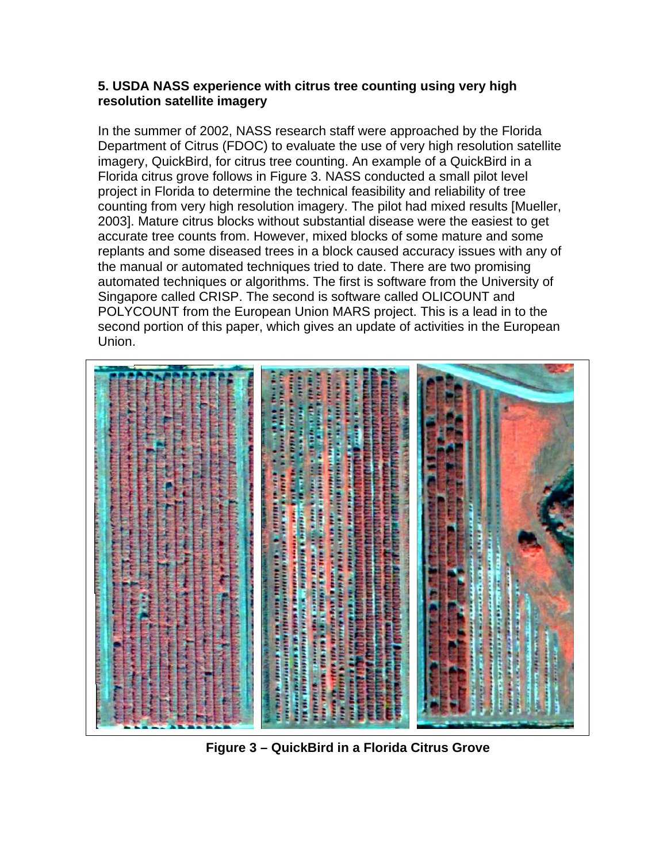#### **5. USDA NASS experience with citrus tree counting using very high resolution satellite imagery**

In the summer of 2002, NASS research staff were approached by the Florida Department of Citrus (FDOC) to evaluate the use of very high resolution satellite imagery, QuickBird, for citrus tree counting. An example of a QuickBird in a Florida citrus grove follows in Figure 3. NASS conducted a small pilot level project in Florida to determine the technical feasibility and reliability of tree counting from very high resolution imagery. The pilot had mixed results [Mueller, 2003]. Mature citrus blocks without substantial disease were the easiest to get accurate tree counts from. However, mixed blocks of some mature and some replants and some diseased trees in a block caused accuracy issues with any of the manual or automated techniques tried to date. There are two promising automated techniques or algorithms. The first is software from the University of Singapore called CRISP. The second is software called OLICOUNT and POLYCOUNT from the European Union MARS project. This is a lead in to the second portion of this paper, which gives an update of activities in the European Union.



**Figure 3 – QuickBird in a Florida Citrus Grove**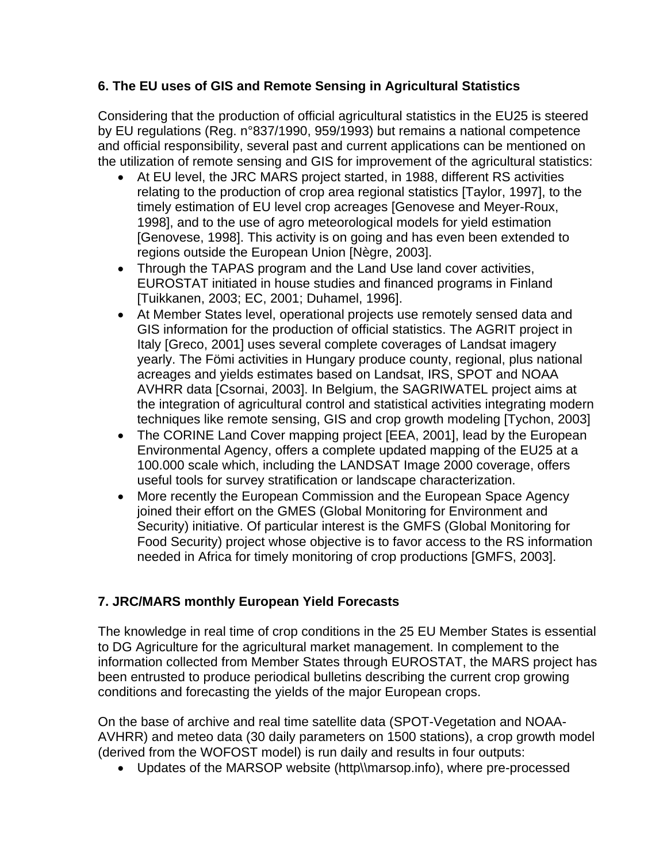# **6. The EU uses of GIS and Remote Sensing in Agricultural Statistics**

Considering that the production of official agricultural statistics in the EU25 is steered by EU regulations (Reg. n°837/1990, 959/1993) but remains a national competence and official responsibility, several past and current applications can be mentioned on the utilization of remote sensing and GIS for improvement of the agricultural statistics:

- At EU level, the JRC MARS project started, in 1988, different RS activities relating to the production of crop area regional statistics [Taylor, 1997], to the timely estimation of EU level crop acreages [Genovese and Meyer-Roux, 1998], and to the use of agro meteorological models for yield estimation [Genovese, 1998]. This activity is on going and has even been extended to regions outside the European Union [Nègre, 2003].
- Through the TAPAS program and the Land Use land cover activities, EUROSTAT initiated in house studies and financed programs in Finland [Tuikkanen, 2003; EC, 2001; Duhamel, 1996].
- At Member States level, operational projects use remotely sensed data and GIS information for the production of official statistics. The AGRIT project in Italy [Greco, 2001] uses several complete coverages of Landsat imagery yearly. The Fömi activities in Hungary produce county, regional, plus national acreages and yields estimates based on Landsat, IRS, SPOT and NOAA AVHRR data [Csornai, 2003]. In Belgium, the SAGRIWATEL project aims at the integration of agricultural control and statistical activities integrating modern techniques like remote sensing, GIS and crop growth modeling [Tychon, 2003]
- The CORINE Land Cover mapping project [EEA, 2001], lead by the European Environmental Agency, offers a complete updated mapping of the EU25 at a 100.000 scale which, including the LANDSAT Image 2000 coverage, offers useful tools for survey stratification or landscape characterization.
- More recently the European Commission and the European Space Agency joined their effort on the GMES (Global Monitoring for Environment and Security) initiative. Of particular interest is the GMFS (Global Monitoring for Food Security) project whose objective is to favor access to the RS information needed in Africa for timely monitoring of crop productions [GMFS, 2003].

# **7. JRC/MARS monthly European Yield Forecasts**

The knowledge in real time of crop conditions in the 25 EU Member States is essential to DG Agriculture for the agricultural market management. In complement to the information collected from Member States through EUROSTAT, the MARS project has been entrusted to produce periodical bulletins describing the current crop growing conditions and forecasting the yields of the major European crops.

On the base of archive and real time satellite data (SPOT-Vegetation and NOAA-AVHRR) and meteo data (30 daily parameters on 1500 stations), a crop growth model (derived from the WOFOST model) is run daily and results in four outputs:

• Updates of the MARSOP website (http\\marsop.info), where pre-processed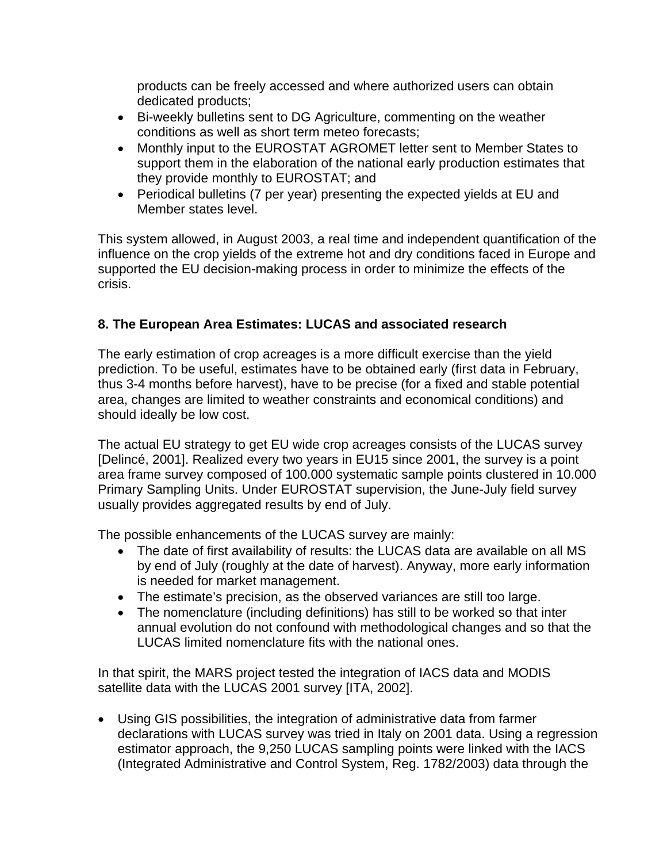products can be freely accessed and where authorized users can obtain dedicated products;

- Bi-weekly bulletins sent to DG Agriculture, commenting on the weather conditions as well as short term meteo forecasts;
- Monthly input to the EUROSTAT AGROMET letter sent to Member States to support them in the elaboration of the national early production estimates that they provide monthly to EUROSTAT; and
- Periodical bulletins (7 per year) presenting the expected yields at EU and Member states level.

This system allowed, in August 2003, a real time and independent quantification of the influence on the crop yields of the extreme hot and dry conditions faced in Europe and supported the EU decision-making process in order to minimize the effects of the crisis.

# **8. The European Area Estimates: LUCAS and associated research**

The early estimation of crop acreages is a more difficult exercise than the yield prediction. To be useful, estimates have to be obtained early (first data in February, thus 3-4 months before harvest), have to be precise (for a fixed and stable potential area, changes are limited to weather constraints and economical conditions) and should ideally be low cost.

The actual EU strategy to get EU wide crop acreages consists of the LUCAS survey [Delincé, 2001]. Realized every two years in EU15 since 2001, the survey is a point area frame survey composed of 100.000 systematic sample points clustered in 10.000 Primary Sampling Units. Under EUROSTAT supervision, the June-July field survey usually provides aggregated results by end of July.

The possible enhancements of the LUCAS survey are mainly:

- The date of first availability of results: the LUCAS data are available on all MS by end of July (roughly at the date of harvest). Anyway, more early information is needed for market management.
- The estimate's precision, as the observed variances are still too large.
- The nomenclature (including definitions) has still to be worked so that inter annual evolution do not confound with methodological changes and so that the LUCAS limited nomenclature fits with the national ones.

In that spirit, the MARS project tested the integration of IACS data and MODIS satellite data with the LUCAS 2001 survey [ITA, 2002].

• Using GIS possibilities, the integration of administrative data from farmer declarations with LUCAS survey was tried in Italy on 2001 data. Using a regression estimator approach, the 9,250 LUCAS sampling points were linked with the IACS (Integrated Administrative and Control System, Reg. 1782/2003) data through the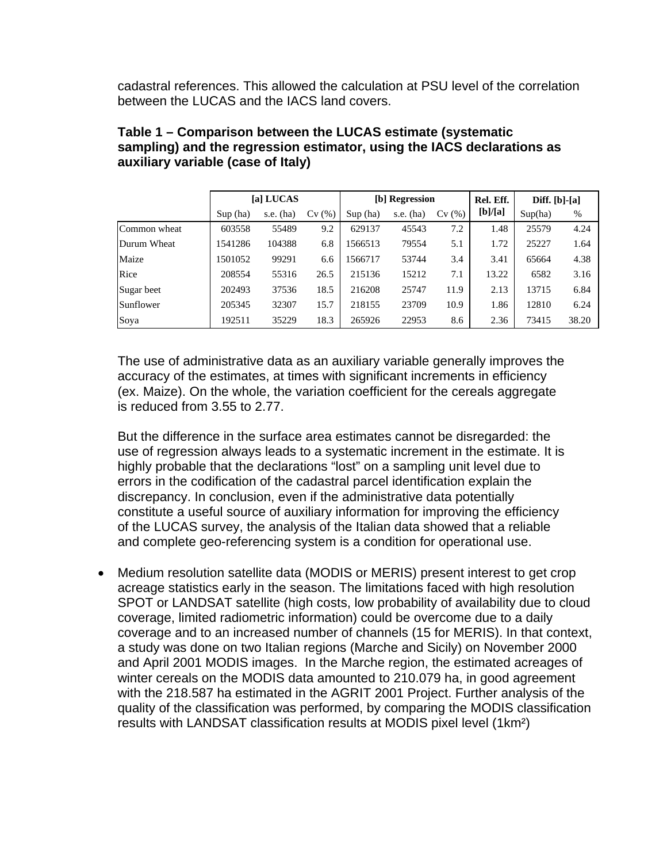cadastral references. This allowed the calculation at PSU level of the correlation between the LUCAS and the IACS land covers.

|              | [a] LUCAS |             |       | [b] Regression |             |       | Rel. Eff. | Diff. $[b]$ - $[a]$ |       |
|--------------|-----------|-------------|-------|----------------|-------------|-------|-----------|---------------------|-------|
|              | Sup(ha)   | s.e. $(ha)$ | Cv(%) | Sup(ha)        | s.e. $(ha)$ | Cv(%) | [b]/[a]   | Sup(ha)             | %     |
| Common wheat | 603558    | 55489       | 9.2   | 629137         | 45543       | 7.2   | 1.48      | 25579               | 4.24  |
| Durum Wheat  | 1541286   | 104388      | 6.8   | 1566513        | 79554       | 5.1   | 1.72      | 25227               | 1.64  |
| Maize        | 1501052   | 99291       | 6.6   | 1566717        | 53744       | 3.4   | 3.41      | 65664               | 4.38  |
| Rice         | 208554    | 55316       | 26.5  | 215136         | 15212       | 7.1   | 13.22     | 6582                | 3.16  |
| Sugar beet   | 202493    | 37536       | 18.5  | 216208         | 25747       | 11.9  | 2.13      | 13715               | 6.84  |
| Sunflower    | 205345    | 32307       | 15.7  | 218155         | 23709       | 10.9  | 1.86      | 12810               | 6.24  |
| Soya         | 192511    | 35229       | 18.3  | 265926         | 22953       | 8.6   | 2.36      | 73415               | 38.20 |

## **Table 1 – Comparison between the LUCAS estimate (systematic sampling) and the regression estimator, using the IACS declarations as auxiliary variable (case of Italy)**

The use of administrative data as an auxiliary variable generally improves the accuracy of the estimates, at times with significant increments in efficiency (ex. Maize). On the whole, the variation coefficient for the cereals aggregate is reduced from 3.55 to 2.77.

But the difference in the surface area estimates cannot be disregarded: the use of regression always leads to a systematic increment in the estimate. It is highly probable that the declarations "lost" on a sampling unit level due to errors in the codification of the cadastral parcel identification explain the discrepancy. In conclusion, even if the administrative data potentially constitute a useful source of auxiliary information for improving the efficiency of the LUCAS survey, the analysis of the Italian data showed that a reliable and complete geo-referencing system is a condition for operational use.

• Medium resolution satellite data (MODIS or MERIS) present interest to get crop acreage statistics early in the season. The limitations faced with high resolution SPOT or LANDSAT satellite (high costs, low probability of availability due to cloud coverage, limited radiometric information) could be overcome due to a daily coverage and to an increased number of channels (15 for MERIS). In that context, a study was done on two Italian regions (Marche and Sicily) on November 2000 and April 2001 MODIS images. In the Marche region, the estimated acreages of winter cereals on the MODIS data amounted to 210.079 ha, in good agreement with the 218.587 ha estimated in the AGRIT 2001 Project. Further analysis of the quality of the classification was performed, by comparing the MODIS classification results with LANDSAT classification results at MODIS pixel level (1km²)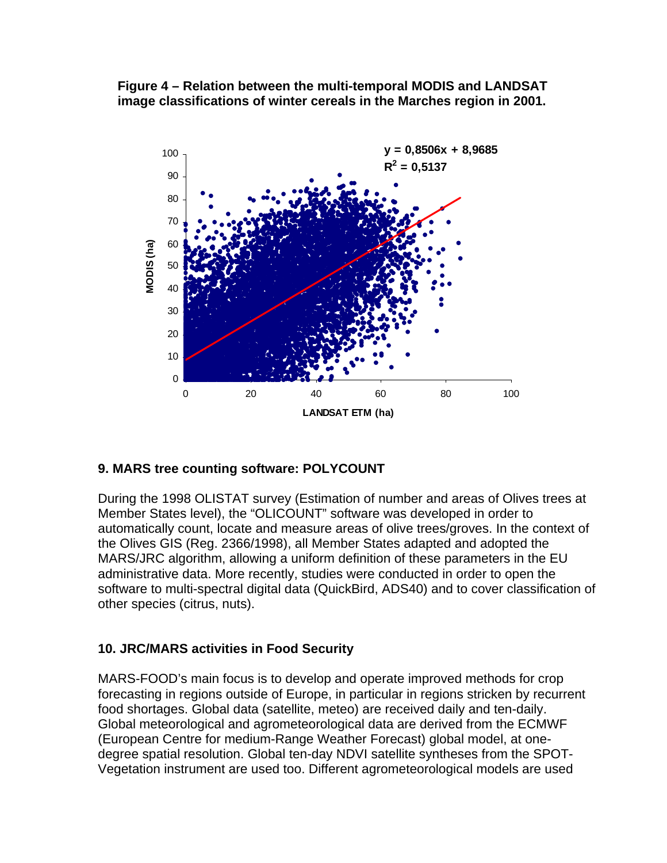**Figure 4 – Relation between the multi-temporal MODIS and LANDSAT image classifications of winter cereals in the Marches region in 2001.** 



#### **9. MARS tree counting software: POLYCOUNT**

During the 1998 OLISTAT survey (Estimation of number and areas of Olives trees at Member States level), the "OLICOUNT" software was developed in order to automatically count, locate and measure areas of olive trees/groves. In the context of the Olives GIS (Reg. 2366/1998), all Member States adapted and adopted the MARS/JRC algorithm, allowing a uniform definition of these parameters in the EU administrative data. More recently, studies were conducted in order to open the software to multi-spectral digital data (QuickBird, ADS40) and to cover classification of other species (citrus, nuts).

#### **10. JRC/MARS activities in Food Security**

MARS-FOOD's main focus is to develop and operate improved methods for crop forecasting in regions outside of Europe, in particular in regions stricken by recurrent food shortages. Global data (satellite, meteo) are received daily and ten-daily. Global meteorological and agrometeorological data are derived from the ECMWF (European Centre for medium-Range Weather Forecast) global model, at onedegree spatial resolution. Global ten-day NDVI satellite syntheses from the SPOT-Vegetation instrument are used too. Different agrometeorological models are used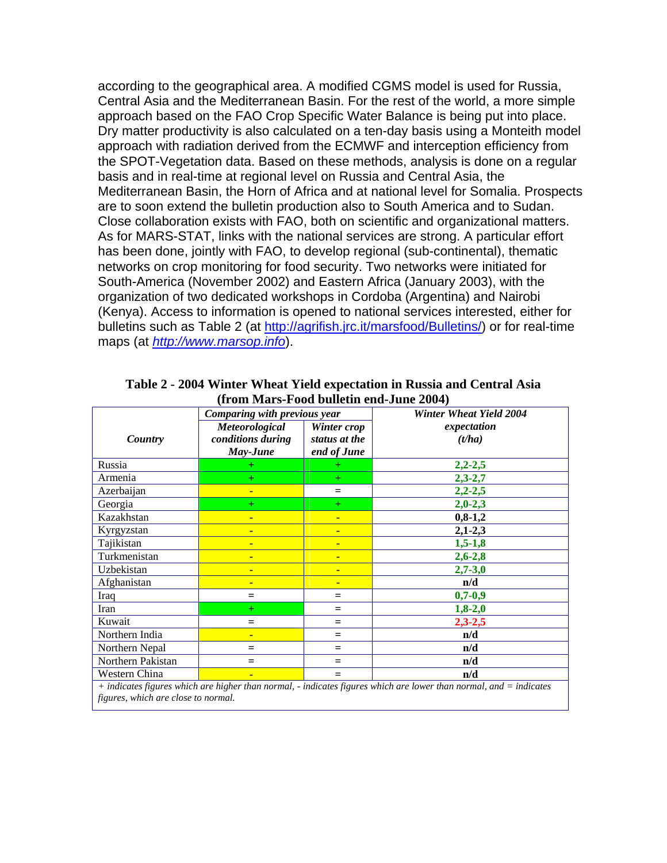according to the geographical area. A modified CGMS model is used for Russia, Central Asia and the Mediterranean Basin. For the rest of the world, a more simple approach based on the FAO Crop Specific Water Balance is being put into place. Dry matter productivity is also calculated on a ten-day basis using a Monteith model approach with radiation derived from the ECMWF and interception efficiency from the SPOT-Vegetation data. Based on these methods, analysis is done on a regular basis and in real-time at regional level on Russia and Central Asia, the Mediterranean Basin, the Horn of Africa and at national level for Somalia. Prospects are to soon extend the bulletin production also to South America and to Sudan. Close collaboration exists with FAO, both on scientific and organizational matters. As for MARS-STAT, links with the national services are strong. A particular effort has been done, jointly with FAO, to develop regional (sub-continental), thematic networks on crop monitoring for food security. Two networks were initiated for South-America (November 2002) and Eastern Africa (January 2003), with the organization of two dedicated workshops in Cordoba (Argentina) and Nairobi (Kenya). Access to information is opened to national services interested, either for bulletins such as Table 2 (at http://agrifish.jrc.it/marsfood/Bulletins/) or for real-time maps (at *http://www.marsop.info*).

|                                                                                                                       | Comparing with previous year |               | <b>Winter Wheat Yield 2004</b> |  |  |  |  |
|-----------------------------------------------------------------------------------------------------------------------|------------------------------|---------------|--------------------------------|--|--|--|--|
|                                                                                                                       | Meteorological               | Winter crop   | expectation                    |  |  |  |  |
| Country                                                                                                               | conditions during            | status at the | (t/ha)                         |  |  |  |  |
|                                                                                                                       | May-June                     | end of June   |                                |  |  |  |  |
| Russia                                                                                                                | $^+$                         |               | $2,2 - 2,5$                    |  |  |  |  |
| Armenia                                                                                                               | $+$                          | $+$           | $2,3 - 2,7$                    |  |  |  |  |
| Azerbaijan                                                                                                            | ٠                            | $=$           | $2,2-2,5$                      |  |  |  |  |
| Georgia                                                                                                               | $+$                          | $+$           | $2,0-2,3$                      |  |  |  |  |
| Kazakhstan                                                                                                            | ٠                            | ٠             | $0,8-1,2$                      |  |  |  |  |
| Kyrgyzstan                                                                                                            | ٠                            | ٠             | $2,1-2,3$                      |  |  |  |  |
| Tajikistan                                                                                                            | ٠                            | ٠             | $1,5-1,8$                      |  |  |  |  |
| Turkmenistan                                                                                                          | ٠                            | ٠             | $2,6 - 2,8$                    |  |  |  |  |
| Uzbekistan                                                                                                            | ٠                            | ٠             | $2,7 - 3,0$                    |  |  |  |  |
| Afghanistan                                                                                                           |                              | ٠             | n/d                            |  |  |  |  |
| Iraq                                                                                                                  | $=$                          | $=$           | $0,7-0,9$                      |  |  |  |  |
| Iran                                                                                                                  | $+$                          | $=$           | $1,8-2,0$                      |  |  |  |  |
| Kuwait                                                                                                                | $=$                          | $=$           | $2,3-2,5$                      |  |  |  |  |
| Northern India                                                                                                        | ٠                            | $=$           | n/d                            |  |  |  |  |
| Northern Nepal                                                                                                        | $=$                          | $=$           | n/d                            |  |  |  |  |
| Northern Pakistan                                                                                                     | $=$                          | $=$           | n/d                            |  |  |  |  |
| Western China                                                                                                         |                              |               | n/d                            |  |  |  |  |
| $\mu$ indicates figures which are higher than normal indicates figures which are lower than normal, and $-$ indicates |                              |               |                                |  |  |  |  |

**Table 2 - 2004 Winter Wheat Yield expectation in Russia and Central Asia (from Mars-Food bulletin end-June 2004)** 

*+ indicates figures which are higher than normal, - indicates figures which are lower than normal, and = indicates figures, which are close to normal.*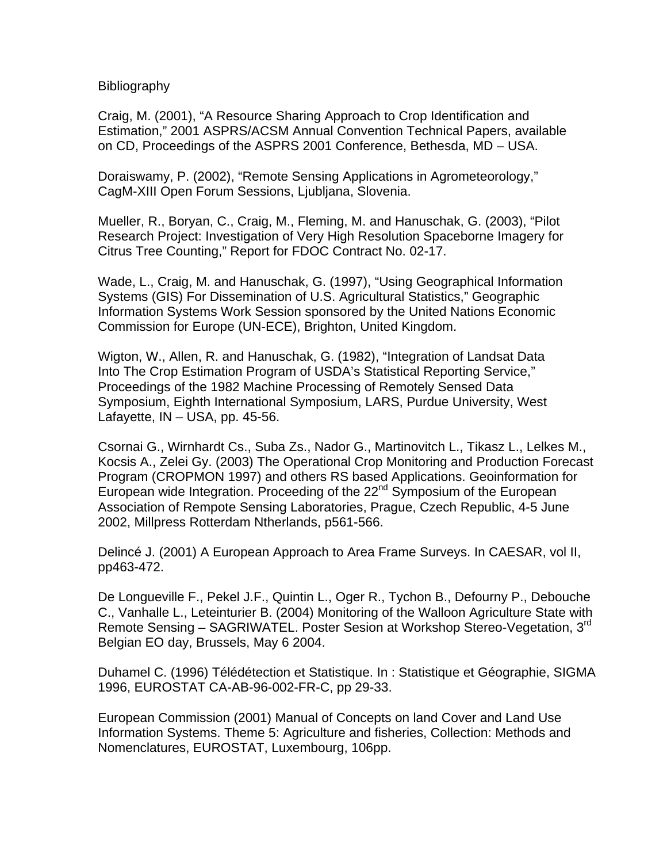Bibliography

Craig, M. (2001), "A Resource Sharing Approach to Crop Identification and Estimation," 2001 ASPRS/ACSM Annual Convention Technical Papers, available on CD, Proceedings of the ASPRS 2001 Conference, Bethesda, MD – USA.

Doraiswamy, P. (2002), "Remote Sensing Applications in Agrometeorology," CagM-XIII Open Forum Sessions, Ljubljana, Slovenia.

Mueller, R., Boryan, C., Craig, M., Fleming, M. and Hanuschak, G. (2003), "Pilot Research Project: Investigation of Very High Resolution Spaceborne Imagery for Citrus Tree Counting," Report for FDOC Contract No. 02-17.

Wade, L., Craig, M. and Hanuschak, G. (1997), "Using Geographical Information Systems (GIS) For Dissemination of U.S. Agricultural Statistics," Geographic Information Systems Work Session sponsored by the United Nations Economic Commission for Europe (UN-ECE), Brighton, United Kingdom.

Wigton, W., Allen, R. and Hanuschak, G. (1982), "Integration of Landsat Data Into The Crop Estimation Program of USDA's Statistical Reporting Service," Proceedings of the 1982 Machine Processing of Remotely Sensed Data Symposium, Eighth International Symposium, LARS, Purdue University, West Lafayette,  $IN - USA$ , pp. 45-56.

Csornai G., Wirnhardt Cs., Suba Zs., Nador G., Martinovitch L., Tikasz L., Lelkes M., Kocsis A., Zelei Gy. (2003) The Operational Crop Monitoring and Production Forecast Program (CROPMON 1997) and others RS based Applications. Geoinformation for European wide Integration. Proceeding of the 22<sup>nd</sup> Symposium of the European Association of Rempote Sensing Laboratories, Prague, Czech Republic, 4-5 June 2002, Millpress Rotterdam Ntherlands, p561-566.

Delincé J. (2001) A European Approach to Area Frame Surveys. In CAESAR, vol II, pp463-472.

De Longueville F., Pekel J.F., Quintin L., Oger R., Tychon B., Defourny P., Debouche C., Vanhalle L., Leteinturier B. (2004) Monitoring of the Walloon Agriculture State with Remote Sensing – SAGRIWATEL. Poster Sesion at Workshop Stereo-Vegetation, 3rd Belgian EO day, Brussels, May 6 2004.

Duhamel C. (1996) Télédétection et Statistique. In : Statistique et Géographie, SIGMA 1996, EUROSTAT CA-AB-96-002-FR-C, pp 29-33.

European Commission (2001) Manual of Concepts on land Cover and Land Use Information Systems. Theme 5: Agriculture and fisheries, Collection: Methods and Nomenclatures, EUROSTAT, Luxembourg, 106pp.